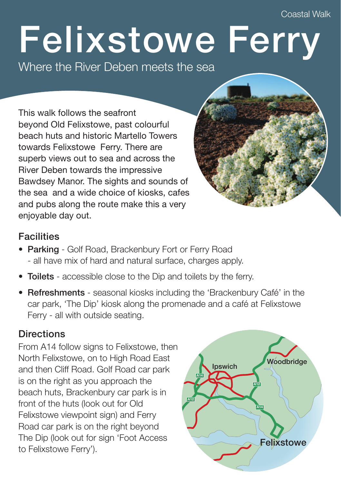Coastal Walk

## **Felixstowe Ferry**

Where the River Deben meets the sea

This walk follows the seafront beyond Old Felixstowe, past colourful beach huts and historic Martello Towers towards Felixstowe Ferry. There are superb views out to sea and across the River Deben towards the impressive Bawdsey Manor. The sights and sounds of the sea and a wide choice of kiosks, cafes and pubs along the route make this a very enjoyable day out.

## **Facilities**

- **Parking** Golf Road, Brackenbury Fort or Ferry Road - all have mix of hard and natural surface, charges apply.
- **Toilets** accessible close to the Dip and toilets by the ferry.
- **Refreshments** seasonal kiosks including the 'Brackenbury Café' in the car park, 'The Dip' kiosk along the promenade and a café at Felixstowe Ferry - all with outside seating.

## **Directions**

From A14 follow signs to Felixstowe, then North Felixstowe, on to High Road East and then Cliff Road. Golf Road car park is on the right as you approach the beach huts, Brackenbury car park is in front of the huts (look out for Old Felixstowe viewpoint sign) and Ferry Road car park is on the right beyond The Dip (look out for sign 'Foot Access to Felixstowe Ferry').